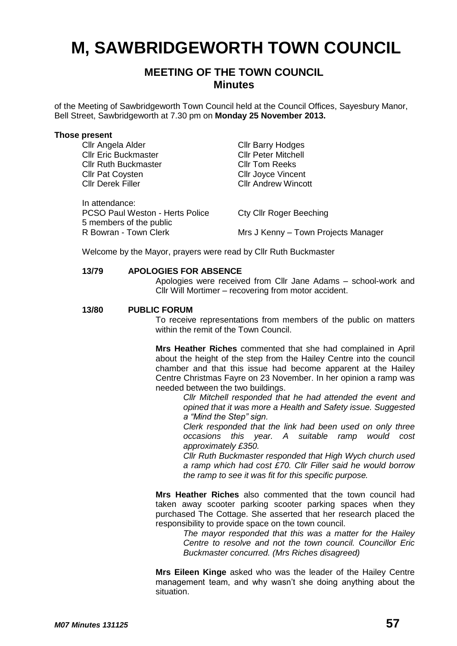# **M, SAWBRIDGEWORTH TOWN COUNCIL**

# **MEETING OF THE TOWN COUNCIL Minutes**

of the Meeting of Sawbridgeworth Town Council held at the Council Offices, Sayesbury Manor, Bell Street, Sawbridgeworth at 7.30 pm on **Monday 25 November 2013.**

#### **Those present**

| Cllr Angela Alder                      | <b>CIIr Barry Hodges</b>            |
|----------------------------------------|-------------------------------------|
| <b>Cllr Eric Buckmaster</b>            | <b>CIIr Peter Mitchell</b>          |
| <b>Cllr Ruth Buckmaster</b>            | <b>CIIr Tom Reeks</b>               |
| <b>Cllr Pat Coysten</b>                | <b>CIIr Joyce Vincent</b>           |
| <b>Cllr Derek Filler</b>               | <b>CIIr Andrew Wincott</b>          |
|                                        |                                     |
| In attendance:                         |                                     |
| <b>PCSO Paul Weston - Herts Police</b> | <b>Cty Cllr Roger Beeching</b>      |
| 5 members of the public                |                                     |
| R Bowran - Town Clerk                  | Mrs J Kenny - Town Projects Manager |

Welcome by the Mayor, prayers were read by Cllr Ruth Buckmaster

#### **13/79 APOLOGIES FOR ABSENCE**

Apologies were received from Cllr Jane Adams – school-work and Cllr Will Mortimer – recovering from motor accident.

#### **13/80 PUBLIC FORUM**

To receive representations from members of the public on matters within the remit of the Town Council.

**Mrs Heather Riches** commented that she had complained in April about the height of the step from the Hailey Centre into the council chamber and that this issue had become apparent at the Hailey Centre Christmas Fayre on 23 November. In her opinion a ramp was needed between the two buildings.

> *Cllr Mitchell responded that he had attended the event and opined that it was more a Health and Safety issue. Suggested a "Mind the Step" sign.*

> *Clerk responded that the link had been used on only three occasions this year. A suitable ramp would cost approximately £350.*

> *Cllr Ruth Buckmaster responded that High Wych church used a ramp which had cost £70. Cllr Filler said he would borrow the ramp to see it was fit for this specific purpose.*

**Mrs Heather Riches** also commented that the town council had taken away scooter parking scooter parking spaces when they purchased The Cottage. She asserted that her research placed the responsibility to provide space on the town council.

*The mayor responded that this was a matter for the Hailey Centre to resolve and not the town council. Councillor Eric Buckmaster concurred. (Mrs Riches disagreed)*

**Mrs Eileen Kinge** asked who was the leader of the Hailey Centre management team, and why wasn't she doing anything about the situation.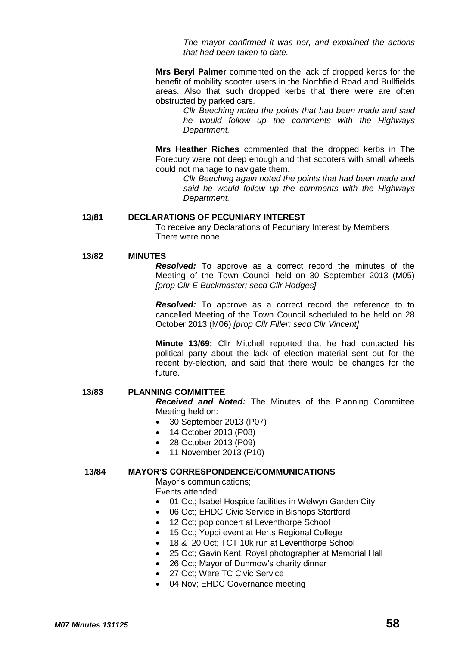*The mayor confirmed it was her, and explained the actions that had been taken to date.*

**Mrs Beryl Palmer** commented on the lack of dropped kerbs for the benefit of mobility scooter users in the Northfield Road and Bullfields areas. Also that such dropped kerbs that there were are often obstructed by parked cars.

> *Cllr Beeching noted the points that had been made and said he would follow up the comments with the Highways Department.*

**Mrs Heather Riches** commented that the dropped kerbs in The Forebury were not deep enough and that scooters with small wheels could not manage to navigate them.

*Cllr Beeching again noted the points that had been made and said he would follow up the comments with the Highways Department.*

#### **13/81 DECLARATIONS OF PECUNIARY INTEREST**

To receive any Declarations of Pecuniary Interest by Members There were none

### **13/82 MINUTES**

*Resolved:* To approve as a correct record the minutes of the Meeting of the Town Council held on 30 September 2013 (M05) *[prop Cllr E Buckmaster; secd Cllr Hodges]*

*Resolved:* To approve as a correct record the reference to to cancelled Meeting of the Town Council scheduled to be held on 28 October 2013 (M06) *[prop Cllr Filler; secd Cllr Vincent]*

**Minute 13/69:** Cllr Mitchell reported that he had contacted his political party about the lack of election material sent out for the recent by-election, and said that there would be changes for the future.

#### **13/83 PLANNING COMMITTEE**

*Received and Noted:* The Minutes of the Planning Committee Meeting held on:

- 30 September 2013 (P07)
- 14 October 2013 (P08)
- 28 October 2013 (P09)
- 11 November 2013 (P10)

#### **13/84 MAYOR'S CORRESPONDENCE/COMMUNICATIONS**

Mayor's communications; Events attended:

- 01 Oct; Isabel Hospice facilities in Welwyn Garden City
- 06 Oct; EHDC Civic Service in Bishops Stortford
- 12 Oct; pop concert at Leventhorpe School
- 15 Oct; Yoppi event at Herts Regional College
- 18 & 20 Oct; TCT 10k run at Leventhorpe School
- 25 Oct; Gavin Kent, Royal photographer at Memorial Hall
- 26 Oct; Mayor of Dunmow's charity dinner
- 27 Oct; Ware TC Civic Service
- 04 Nov; EHDC Governance meeting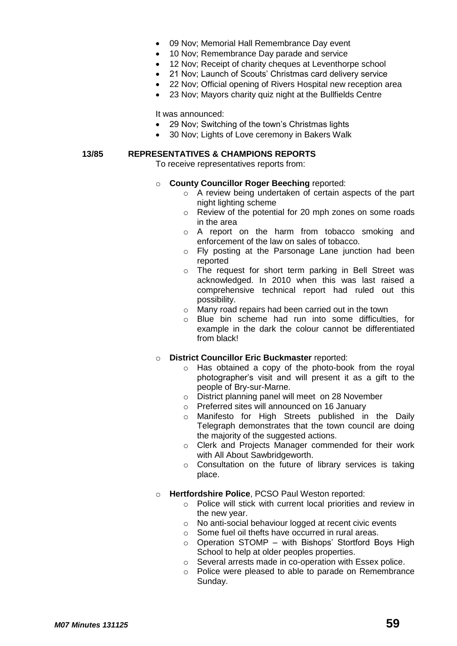- 09 Nov; Memorial Hall Remembrance Day event
- 10 Nov; Remembrance Day parade and service
- 12 Nov; Receipt of charity cheques at Leventhorpe school
- 21 Nov; Launch of Scouts' Christmas card delivery service
- 22 Nov; Official opening of Rivers Hospital new reception area
- 23 Nov; Mayors charity quiz night at the Bullfields Centre

It was announced:

- 29 Nov; Switching of the town's Christmas lights
- 30 Nov; Lights of Love ceremony in Bakers Walk

### **13/85 REPRESENTATIVES & CHAMPIONS REPORTS**

To receive representatives reports from:

### o **County Councillor Roger Beeching** reported:

- o A review being undertaken of certain aspects of the part night lighting scheme
- o Review of the potential for 20 mph zones on some roads in the area
- o A report on the harm from tobacco smoking and enforcement of the law on sales of tobacco.
- o Fly posting at the Parsonage Lane junction had been reported
- o The request for short term parking in Bell Street was acknowledged. In 2010 when this was last raised a comprehensive technical report had ruled out this possibility.
- o Many road repairs had been carried out in the town
- o Blue bin scheme had run into some difficulties, for example in the dark the colour cannot be differentiated from black!
- o **District Councillor Eric Buckmaster** reported:
	- o Has obtained a copy of the photo-book from the royal photographer's visit and will present it as a gift to the people of Bry-sur-Marne.
	- o District planning panel will meet on 28 November
	- o Preferred sites will announced on 16 January
	- o Manifesto for High Streets published in the Daily Telegraph demonstrates that the town council are doing the majority of the suggested actions.
	- o Clerk and Projects Manager commended for their work with All About Sawbridgeworth.
	- o Consultation on the future of library services is taking place.
- o **Hertfordshire Police**, PCSO Paul Weston reported:
	- o Police will stick with current local priorities and review in the new year.
	- o No anti-social behaviour logged at recent civic events
	- o Some fuel oil thefts have occurred in rural areas.
	- o Operation STOMP with Bishops' Stortford Boys High School to help at older peoples properties.
	- o Several arrests made in co-operation with Essex police.
	- o Police were pleased to able to parade on Remembrance Sunday.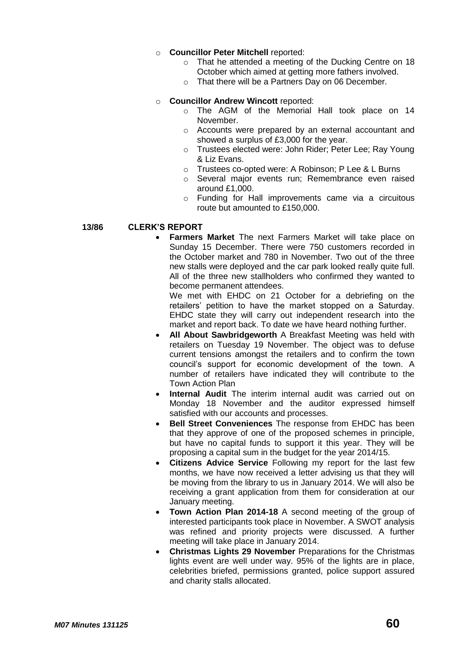# o **Councillor Peter Mitchell** reported:

- o That he attended a meeting of the Ducking Centre on 18 October which aimed at getting more fathers involved.
- o That there will be a Partners Day on 06 December.

# o **Councillor Andrew Wincott** reported:

- o The AGM of the Memorial Hall took place on 14 November.
- o Accounts were prepared by an external accountant and showed a surplus of £3,000 for the year.
- o Trustees elected were: John Rider; Peter Lee; Ray Young & Liz Evans.
- o Trustees co-opted were: A Robinson; P Lee & L Burns
- o Several major events run; Remembrance even raised around £1,000.
- o Funding for Hall improvements came via a circuitous route but amounted to £150,000.

### **13/86 CLERK'S REPORT**

 **Farmers Market** The next Farmers Market will take place on Sunday 15 December. There were 750 customers recorded in the October market and 780 in November. Two out of the three new stalls were deployed and the car park looked really quite full. All of the three new stallholders who confirmed they wanted to become permanent attendees.

We met with EHDC on 21 October for a debriefing on the retailers' petition to have the market stopped on a Saturday. EHDC state they will carry out independent research into the market and report back. To date we have heard nothing further.

- **All About Sawbridgeworth** A Breakfast Meeting was held with retailers on Tuesday 19 November. The object was to defuse current tensions amongst the retailers and to confirm the town council's support for economic development of the town. A number of retailers have indicated they will contribute to the Town Action Plan
- **Internal Audit** The interim internal audit was carried out on Monday 18 November and the auditor expressed himself satisfied with our accounts and processes.
- **Bell Street Conveniences** The response from EHDC has been that they approve of one of the proposed schemes in principle, but have no capital funds to support it this year. They will be proposing a capital sum in the budget for the year 2014/15.
- **Citizens Advice Service** Following my report for the last few months, we have now received a letter advising us that they will be moving from the library to us in January 2014. We will also be receiving a grant application from them for consideration at our January meeting.
- **Town Action Plan 2014-18** A second meeting of the group of interested participants took place in November. A SWOT analysis was refined and priority projects were discussed. A further meeting will take place in January 2014.
- **Christmas Lights 29 November** Preparations for the Christmas lights event are well under way. 95% of the lights are in place, celebrities briefed, permissions granted, police support assured and charity stalls allocated.